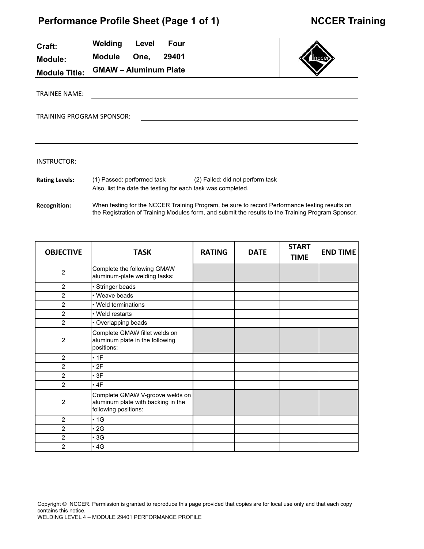| Craft:                | Welding                          | Level | <b>Four</b> |                                                                                                                                                                                                     |  |  |  |
|-----------------------|----------------------------------|-------|-------------|-----------------------------------------------------------------------------------------------------------------------------------------------------------------------------------------------------|--|--|--|
| <b>Module:</b>        | <b>Module</b>                    | One,  | 29401       |                                                                                                                                                                                                     |  |  |  |
| <b>Module Title:</b>  | <b>GMAW - Aluminum Plate</b>     |       |             |                                                                                                                                                                                                     |  |  |  |
| <b>TRAINEE NAME:</b>  |                                  |       |             |                                                                                                                                                                                                     |  |  |  |
|                       | <b>TRAINING PROGRAM SPONSOR:</b> |       |             |                                                                                                                                                                                                     |  |  |  |
|                       |                                  |       |             |                                                                                                                                                                                                     |  |  |  |
| INSTRUCTOR:           |                                  |       |             |                                                                                                                                                                                                     |  |  |  |
| <b>Rating Levels:</b> |                                  |       |             | (1) Passed: performed task (2) Failed: did not perform task<br>Also, list the date the testing for each task was completed.                                                                         |  |  |  |
| <b>Recognition:</b>   |                                  |       |             | When testing for the NCCER Training Program, be sure to record Performance testing results on<br>the Registration of Training Modules form, and submit the results to the Training Program Sponsor. |  |  |  |

| <b>OBJECTIVE</b> | <b>TASK</b>                                                                                   | <b>RATING</b> | <b>DATE</b> | <b>START</b><br><b>TIME</b> | <b>END TIME</b> |
|------------------|-----------------------------------------------------------------------------------------------|---------------|-------------|-----------------------------|-----------------|
| $\overline{2}$   | Complete the following GMAW<br>aluminum-plate welding tasks:                                  |               |             |                             |                 |
| 2                | • Stringer beads                                                                              |               |             |                             |                 |
| $\overline{2}$   | • Weave beads                                                                                 |               |             |                             |                 |
| 2                | • Weld terminations                                                                           |               |             |                             |                 |
| $\overline{2}$   | • Weld restarts                                                                               |               |             |                             |                 |
| $\overline{2}$   | • Overlapping beads                                                                           |               |             |                             |                 |
| $\overline{2}$   | Complete GMAW fillet welds on<br>aluminum plate in the following<br>positions:                |               |             |                             |                 |
| $\overline{2}$   | $\cdot$ 1F                                                                                    |               |             |                             |                 |
| $\overline{2}$   | $\cdot$ 2F                                                                                    |               |             |                             |                 |
| $\overline{2}$   | $\cdot$ 3F                                                                                    |               |             |                             |                 |
| $\overline{2}$   | $\cdot$ 4F                                                                                    |               |             |                             |                 |
| $\overline{2}$   | Complete GMAW V-groove welds on<br>aluminum plate with backing in the<br>following positions: |               |             |                             |                 |
| $\overline{2}$   | $\cdot$ 1G                                                                                    |               |             |                             |                 |
| $\overline{2}$   | $\cdot$ 2G                                                                                    |               |             |                             |                 |
| $\overline{2}$   | $\cdot$ 3G                                                                                    |               |             |                             |                 |
| $\overline{2}$   | $\cdot$ 4G                                                                                    |               |             |                             |                 |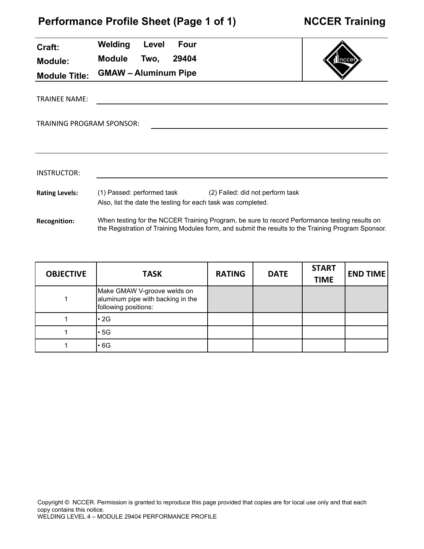| Craft:                    | Welding<br>Level<br><b>Four</b>                                                                                                                                                                     |  |
|---------------------------|-----------------------------------------------------------------------------------------------------------------------------------------------------------------------------------------------------|--|
| <b>Module:</b>            | <b>Module</b><br>29404<br>Two,                                                                                                                                                                      |  |
| <b>Module Title:</b>      | <b>GMAW - Aluminum Pipe</b>                                                                                                                                                                         |  |
| <b>TRAINEE NAME:</b>      |                                                                                                                                                                                                     |  |
| TRAINING PROGRAM SPONSOR: |                                                                                                                                                                                                     |  |
|                           |                                                                                                                                                                                                     |  |
|                           |                                                                                                                                                                                                     |  |
| <b>INSTRUCTOR:</b>        |                                                                                                                                                                                                     |  |
| <b>Rating Levels:</b>     | (1) Passed: performed task<br>(2) Failed: did not perform task<br>Also, list the date the testing for each task was completed.                                                                      |  |
| <b>Recognition:</b>       | When testing for the NCCER Training Program, be sure to record Performance testing results on<br>the Registration of Training Modules form, and submit the results to the Training Program Sponsor. |  |

| <b>OBJECTIVE</b> | <b>TASK</b>                                                                              | <b>RATING</b> | <b>DATE</b> | <b>START</b><br><b>TIME</b> | <b>END TIME</b> |
|------------------|------------------------------------------------------------------------------------------|---------------|-------------|-----------------------------|-----------------|
|                  | Make GMAW V-groove welds on<br>aluminum pipe with backing in the<br>following positions: |               |             |                             |                 |
|                  | $\cdot$ 2G                                                                               |               |             |                             |                 |
|                  | l• 5G                                                                                    |               |             |                             |                 |
|                  | $\cdot$ 6G                                                                               |               |             |                             |                 |



т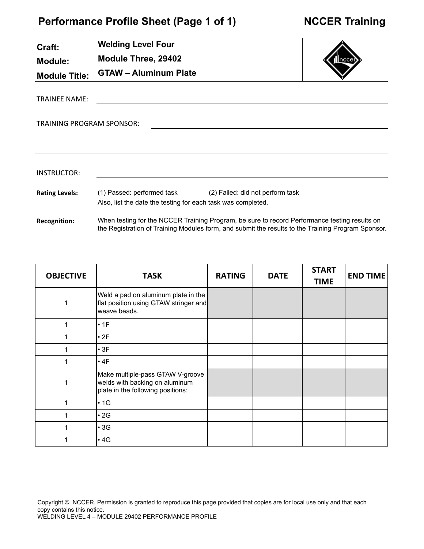| Craft:                           | <b>Welding Level Four</b>                                                                                                      |      |  |  |
|----------------------------------|--------------------------------------------------------------------------------------------------------------------------------|------|--|--|
| <b>Module:</b>                   | Module Three, 29402                                                                                                            | ncce |  |  |
| <b>Module Title:</b>             | <b>GTAW - Aluminum Plate</b>                                                                                                   |      |  |  |
| <b>TRAINEE NAME:</b>             |                                                                                                                                |      |  |  |
| <b>TRAINING PROGRAM SPONSOR:</b> |                                                                                                                                |      |  |  |
|                                  |                                                                                                                                |      |  |  |
| <b>INSTRUCTOR:</b>               |                                                                                                                                |      |  |  |
| <b>Rating Levels:</b>            | (1) Passed: performed task<br>(2) Failed: did not perform task<br>Also, list the date the testing for each task was completed. |      |  |  |

**Recognition:** When testing for the NCCER Training Program, be sure to record Performance testing results on the Registration of Training Modules form, and submit the results to the Training Program Sponsor.

| <b>OBJECTIVE</b> | <b>TASK</b>                                                                                             | <b>RATING</b> | <b>DATE</b> | <b>START</b><br><b>TIME</b> | <b>END TIME</b> |
|------------------|---------------------------------------------------------------------------------------------------------|---------------|-------------|-----------------------------|-----------------|
| 1                | Weld a pad on aluminum plate in the<br>flat position using GTAW stringer and<br>weave beads.            |               |             |                             |                 |
| 1                | $\cdot$ 1F                                                                                              |               |             |                             |                 |
|                  | $\cdot$ 2F                                                                                              |               |             |                             |                 |
| 1                | $\cdot$ 3F                                                                                              |               |             |                             |                 |
|                  | $\cdot$ 4F                                                                                              |               |             |                             |                 |
|                  | Make multiple-pass GTAW V-groove<br>welds with backing on aluminum<br>plate in the following positions: |               |             |                             |                 |
| 1                | $\cdot$ 1G                                                                                              |               |             |                             |                 |
|                  | $\cdot$ 2G                                                                                              |               |             |                             |                 |
| 1                | $\cdot$ 3G                                                                                              |               |             |                             |                 |
|                  | $\cdot$ 4G                                                                                              |               |             |                             |                 |

Copyright © NCCER. Permission is granted to reproduce this page provided that copies are for local use only and that each copy contains this notice.

WELDING LEVEL 4 – MODULE 29402 PERFORMANCE PROFILE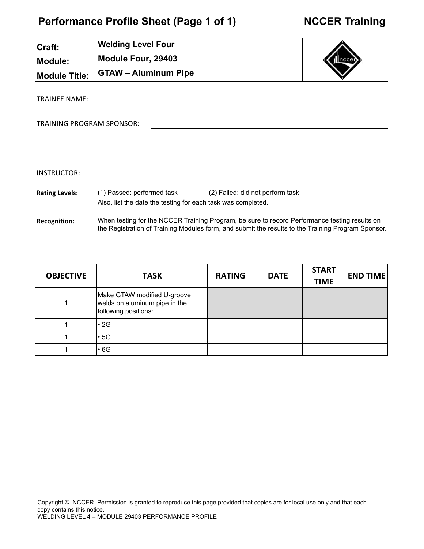J.

| Craft:                           | <b>Welding Level Four</b>                                                                                                   |  |  |  |
|----------------------------------|-----------------------------------------------------------------------------------------------------------------------------|--|--|--|
| <b>Module:</b>                   | Module Four, 29403                                                                                                          |  |  |  |
| <b>Module Title:</b>             | <b>GTAW - Aluminum Pipe</b>                                                                                                 |  |  |  |
| <b>TRAINEE NAME:</b>             |                                                                                                                             |  |  |  |
| <b>TRAINING PROGRAM SPONSOR:</b> |                                                                                                                             |  |  |  |
|                                  |                                                                                                                             |  |  |  |
| <b>INSTRUCTOR:</b>               |                                                                                                                             |  |  |  |
|                                  |                                                                                                                             |  |  |  |
| <b>Rating Levels:</b>            | (1) Passed: performed task (2) Failed: did not perform task<br>Also, list the date the testing for each task was completed. |  |  |  |
| <b>Recognition:</b>              | When testing for the NCCER Training Program, be sure to record Performance testing results on                               |  |  |  |

the Registration of Training Modules form, and submit the results to the Training Program Sponsor.

| <b>OBJECTIVE</b> | <b>TASK</b>                                                                          | <b>RATING</b> | <b>DATE</b> | <b>START</b><br><b>TIME</b> | <b>END TIME</b> |
|------------------|--------------------------------------------------------------------------------------|---------------|-------------|-----------------------------|-----------------|
|                  | Make GTAW modified U-groove<br>welds on aluminum pipe in the<br>following positions: |               |             |                             |                 |
|                  | l• 2G                                                                                |               |             |                             |                 |
|                  | l• 5G                                                                                |               |             |                             |                 |
|                  | l• 6G                                                                                |               |             |                             |                 |